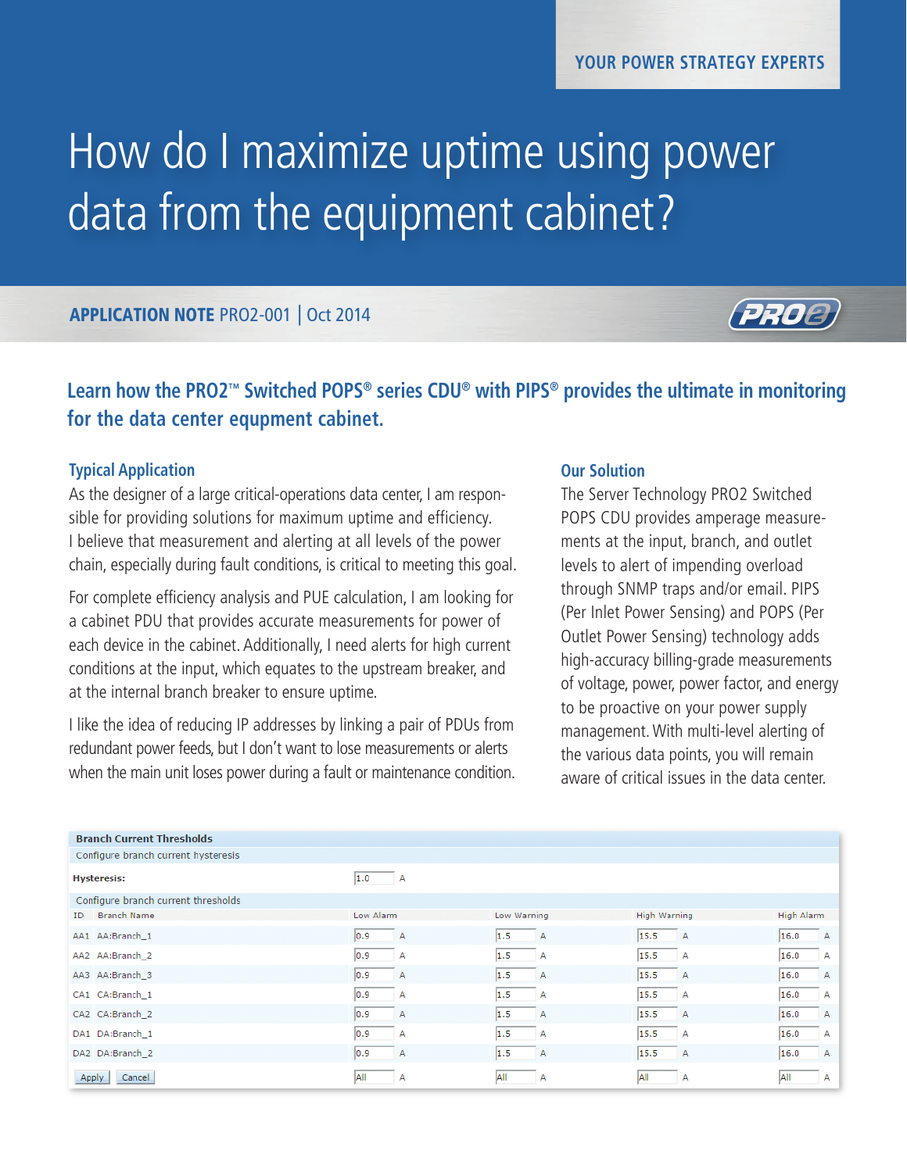# How do I maximize uptime using power data from the equipment cabinet?

### APPLICATION NOTE PRO2-001 | Oct 2014



## **Learn how the PRO2™ Switched POPS® series CDU® with PIPS® provides the ultimate in monitoring for the data center equpment cabinet.**

#### **Typical Application**

As the designer of a large critical-operations data center, I am responsible for providing solutions for maximum uptime and efficiency. I believe that measurement and alerting at all levels of the power chain, especially during fault conditions, is critical to meeting this goal.

For complete efficiency analysis and PUE calculation, I am looking for a cabinet PDU that provides accurate measurements for power of each device in the cabinet. Additionally, I need alerts for high current conditions at the input, which equates to the upstream breaker, and at the internal branch breaker to ensure uptime.

I like the idea of reducing IP addresses by linking a pair of PDUs from redundant power feeds, but I don't want to lose measurements or alerts when the main unit loses power during a fault or maintenance condition.

#### **Our Solution**

The Server Technology PRO2 Switched POPS CDU provides amperage measurements at the input, branch, and outlet levels to alert of impending overload through SNMP traps and/or email. PIPS (Per Inlet Power Sensing) and POPS (Per Outlet Power Sensing) technology adds high-accuracy billing-grade measurements of voltage, power, power factor, and energy to be proactive on your power supply management. With multi-level alerting of the various data points, you will remain aware of critical issues in the data center.

| <b>Branch Current Thresholds</b>    |               |             |                     |                |
|-------------------------------------|---------------|-------------|---------------------|----------------|
| Configure branch current hysteresis |               |             |                     |                |
| <b>Hysteresis:</b>                  | 1.0<br>А      |             |                     |                |
| Configure branch current thresholds |               |             |                     |                |
| <b>Branch Name</b><br>ID            | Low Alarm     | Low Warning | <b>High Warning</b> | High Alarm     |
| AA1 AA:Branch 1                     | $ 0.9\rangle$ | 1.5         | 15.5                | 16.0           |
|                                     | A             | A           | <b>A</b>            | А              |
| AA2 AA:Branch 2                     | 0.9           | 1.5         | 15.5                | 16.0           |
|                                     | Α             | А           | $\overline{A}$      | А              |
| AA3 AA:Branch 3                     | 0.9           | 1.5         | 15.5                | 16.0           |
|                                     | А             | A           | A                   | A              |
| CA1 CA:Branch 1                     | 0.9           | 1.5         | 15.5                | 16.0           |
|                                     | А             | A           | ∣ A                 | А              |
| CA2 CA:Branch 2                     | 0.9           | 1.5         | 15.5                | 16.0           |
|                                     | Α             | A           | <b>A</b>            | $\overline{A}$ |
| DA1 DA:Branch_1                     | 0.9           | 1.5         | 15.5                | 16.0           |
|                                     | А             | А           | A                   | А              |
| DA2 DA:Branch 2                     | 0.9           | 1.5         | 15.5                | 16.0           |
|                                     | А             | A           | <b>A</b>            | $\mathsf{A}$   |
| Cancel                              | All           | <b>AII</b>  | <b>All</b>          | All            |
| Apply                               | А             | А           | А                   | А              |